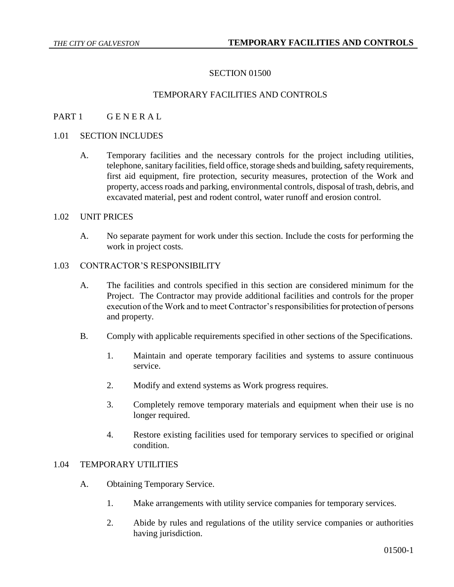## SECTION 01500

## TEMPORARY FACILITIES AND CONTROLS

## PART 1 GENERAL

#### 1.01 SECTION INCLUDES

A. Temporary facilities and the necessary controls for the project including utilities, telephone, sanitary facilities, field office, storage sheds and building, safety requirements, first aid equipment, fire protection, security measures, protection of the Work and property, access roads and parking, environmental controls, disposal of trash, debris, and excavated material, pest and rodent control, water runoff and erosion control.

#### 1.02 UNIT PRICES

A. No separate payment for work under this section. Include the costs for performing the work in project costs.

## 1.03 CONTRACTOR'S RESPONSIBILITY

- A. The facilities and controls specified in this section are considered minimum for the Project. The Contractor may provide additional facilities and controls for the proper execution of the Work and to meet Contractor's responsibilities for protection of persons and property.
- B. Comply with applicable requirements specified in other sections of the Specifications.
	- 1. Maintain and operate temporary facilities and systems to assure continuous service.
	- 2. Modify and extend systems as Work progress requires.
	- 3. Completely remove temporary materials and equipment when their use is no longer required.
	- 4. Restore existing facilities used for temporary services to specified or original condition.

## 1.04 TEMPORARY UTILITIES

- A. Obtaining Temporary Service.
	- 1. Make arrangements with utility service companies for temporary services.
	- 2. Abide by rules and regulations of the utility service companies or authorities having jurisdiction.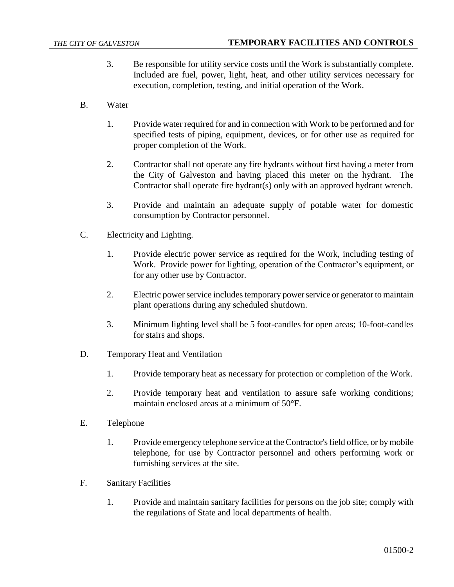- 3. Be responsible for utility service costs until the Work is substantially complete. Included are fuel, power, light, heat, and other utility services necessary for execution, completion, testing, and initial operation of the Work.
- B. Water
	- 1. Provide water required for and in connection with Work to be performed and for specified tests of piping, equipment, devices, or for other use as required for proper completion of the Work.
	- 2. Contractor shall not operate any fire hydrants without first having a meter from the City of Galveston and having placed this meter on the hydrant. The Contractor shall operate fire hydrant(s) only with an approved hydrant wrench.
	- 3. Provide and maintain an adequate supply of potable water for domestic consumption by Contractor personnel.
- C. Electricity and Lighting.
	- 1. Provide electric power service as required for the Work, including testing of Work. Provide power for lighting, operation of the Contractor's equipment, or for any other use by Contractor.
	- 2. Electric power service includes temporary power service or generator to maintain plant operations during any scheduled shutdown.
	- 3. Minimum lighting level shall be 5 foot-candles for open areas; 10-foot-candles for stairs and shops.
- D. Temporary Heat and Ventilation
	- 1. Provide temporary heat as necessary for protection or completion of the Work.
	- 2. Provide temporary heat and ventilation to assure safe working conditions; maintain enclosed areas at a minimum of 50°F.
- E. Telephone
	- 1. Provide emergency telephone service at the Contractor's field office, or by mobile telephone, for use by Contractor personnel and others performing work or furnishing services at the site.
- F. Sanitary Facilities
	- 1. Provide and maintain sanitary facilities for persons on the job site; comply with the regulations of State and local departments of health.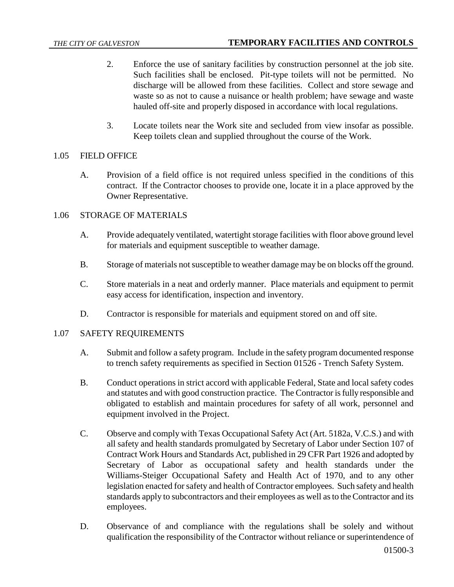- 2. Enforce the use of sanitary facilities by construction personnel at the job site. Such facilities shall be enclosed. Pit-type toilets will not be permitted. No discharge will be allowed from these facilities. Collect and store sewage and waste so as not to cause a nuisance or health problem; have sewage and waste hauled off-site and properly disposed in accordance with local regulations.
- 3. Locate toilets near the Work site and secluded from view insofar as possible. Keep toilets clean and supplied throughout the course of the Work.

## 1.05 FIELD OFFICE

A. Provision of a field office is not required unless specified in the conditions of this contract. If the Contractor chooses to provide one, locate it in a place approved by the Owner Representative.

# 1.06 STORAGE OF MATERIALS

- A. Provide adequately ventilated, watertight storage facilities with floor above ground level for materials and equipment susceptible to weather damage.
- B. Storage of materials not susceptible to weather damage may be on blocks off the ground.
- C. Store materials in a neat and orderly manner. Place materials and equipment to permit easy access for identification, inspection and inventory.
- D. Contractor is responsible for materials and equipment stored on and off site.

#### 1.07 SAFETY REQUIREMENTS

- A. Submit and follow a safety program. Include in the safety program documented response to trench safety requirements as specified in Section 01526 - Trench Safety System.
- B. Conduct operations in strict accord with applicable Federal, State and local safety codes and statutes and with good construction practice. The Contractor is fully responsible and obligated to establish and maintain procedures for safety of all work, personnel and equipment involved in the Project.
- C. Observe and comply with Texas Occupational Safety Act (Art. 5182a, V.C.S.) and with all safety and health standards promulgated by Secretary of Labor under Section 107 of Contract Work Hours and Standards Act, published in 29 CFR Part 1926 and adopted by Secretary of Labor as occupational safety and health standards under the Williams-Steiger Occupational Safety and Health Act of 1970, and to any other legislation enacted for safety and health of Contractor employees. Such safety and health standards apply to subcontractors and their employees as well as to the Contractor and its employees.
- D. Observance of and compliance with the regulations shall be solely and without qualification the responsibility of the Contractor without reliance or superintendence of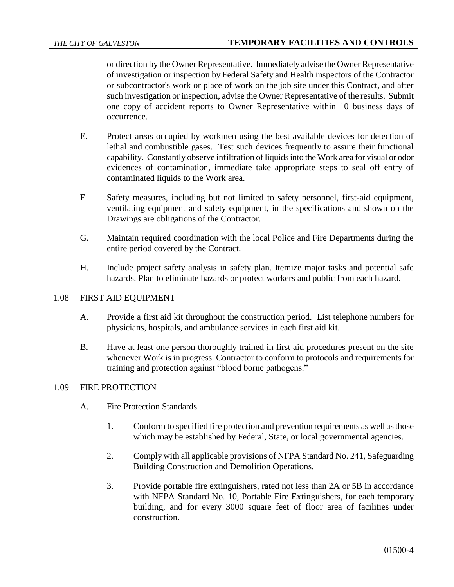or direction by the Owner Representative. Immediately advise the Owner Representative of investigation or inspection by Federal Safety and Health inspectors of the Contractor or subcontractor's work or place of work on the job site under this Contract, and after such investigation or inspection, advise the Owner Representative of the results. Submit one copy of accident reports to Owner Representative within 10 business days of occurrence.

- E. Protect areas occupied by workmen using the best available devices for detection of lethal and combustible gases. Test such devices frequently to assure their functional capability. Constantly observe infiltration of liquids into the Work area for visual or odor evidences of contamination, immediate take appropriate steps to seal off entry of contaminated liquids to the Work area.
- F. Safety measures, including but not limited to safety personnel, first-aid equipment, ventilating equipment and safety equipment, in the specifications and shown on the Drawings are obligations of the Contractor.
- G. Maintain required coordination with the local Police and Fire Departments during the entire period covered by the Contract.
- H. Include project safety analysis in safety plan. Itemize major tasks and potential safe hazards. Plan to eliminate hazards or protect workers and public from each hazard.

#### 1.08 FIRST AID EQUIPMENT

- A. Provide a first aid kit throughout the construction period. List telephone numbers for physicians, hospitals, and ambulance services in each first aid kit.
- B. Have at least one person thoroughly trained in first aid procedures present on the site whenever Work is in progress. Contractor to conform to protocols and requirements for training and protection against "blood borne pathogens."

# 1.09 FIRE PROTECTION

- A. Fire Protection Standards.
	- 1. Conform to specified fire protection and prevention requirements as well as those which may be established by Federal, State, or local governmental agencies.
	- 2. Comply with all applicable provisions of NFPA Standard No. 241, Safeguarding Building Construction and Demolition Operations.
	- 3. Provide portable fire extinguishers, rated not less than 2A or 5B in accordance with NFPA Standard No. 10, Portable Fire Extinguishers, for each temporary building, and for every 3000 square feet of floor area of facilities under construction.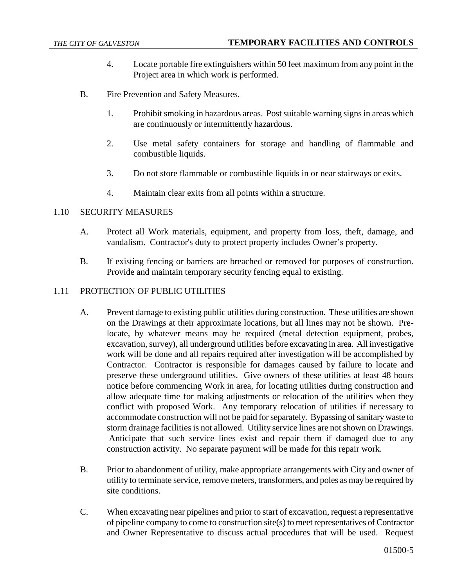- 4. Locate portable fire extinguishers within 50 feet maximum from any point in the Project area in which work is performed.
- B. Fire Prevention and Safety Measures.
	- 1. Prohibit smoking in hazardous areas. Post suitable warning signs in areas which are continuously or intermittently hazardous.
	- 2. Use metal safety containers for storage and handling of flammable and combustible liquids.
	- 3. Do not store flammable or combustible liquids in or near stairways or exits.
	- 4. Maintain clear exits from all points within a structure.

# 1.10 SECURITY MEASURES

- A. Protect all Work materials, equipment, and property from loss, theft, damage, and vandalism. Contractor's duty to protect property includes Owner's property.
- B. If existing fencing or barriers are breached or removed for purposes of construction. Provide and maintain temporary security fencing equal to existing.

## 1.11 PROTECTION OF PUBLIC UTILITIES

- A. Prevent damage to existing public utilities during construction. These utilities are shown on the Drawings at their approximate locations, but all lines may not be shown. Prelocate, by whatever means may be required (metal detection equipment, probes, excavation, survey), all underground utilities before excavating in area. All investigative work will be done and all repairs required after investigation will be accomplished by Contractor. Contractor is responsible for damages caused by failure to locate and preserve these underground utilities. Give owners of these utilities at least 48 hours notice before commencing Work in area, for locating utilities during construction and allow adequate time for making adjustments or relocation of the utilities when they conflict with proposed Work. Any temporary relocation of utilities if necessary to accommodate construction will not be paid for separately. Bypassing of sanitary waste to storm drainage facilities is not allowed. Utility service lines are not shown on Drawings. Anticipate that such service lines exist and repair them if damaged due to any construction activity. No separate payment will be made for this repair work.
- B. Prior to abandonment of utility, make appropriate arrangements with City and owner of utility to terminate service, remove meters, transformers, and poles as may be required by site conditions.
- C. When excavating near pipelines and prior to start of excavation, request a representative of pipeline company to come to construction site(s) to meet representatives of Contractor and Owner Representative to discuss actual procedures that will be used. Request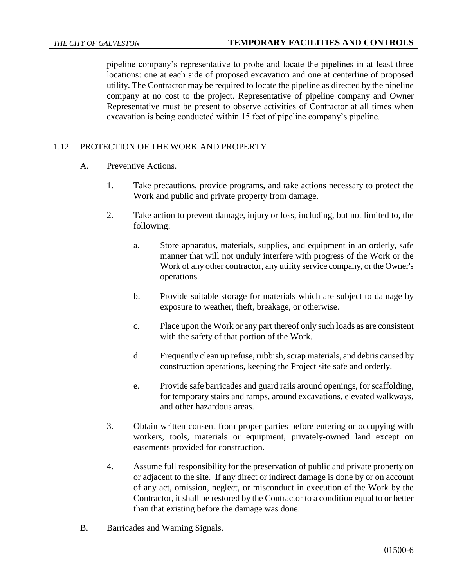pipeline company's representative to probe and locate the pipelines in at least three locations: one at each side of proposed excavation and one at centerline of proposed utility. The Contractor may be required to locate the pipeline as directed by the pipeline company at no cost to the project. Representative of pipeline company and Owner Representative must be present to observe activities of Contractor at all times when excavation is being conducted within 15 feet of pipeline company's pipeline.

# 1.12 PROTECTION OF THE WORK AND PROPERTY

- A. Preventive Actions.
	- 1. Take precautions, provide programs, and take actions necessary to protect the Work and public and private property from damage.
	- 2. Take action to prevent damage, injury or loss, including, but not limited to, the following:
		- a. Store apparatus, materials, supplies, and equipment in an orderly, safe manner that will not unduly interfere with progress of the Work or the Work of any other contractor, any utility service company, or the Owner's operations.
		- b. Provide suitable storage for materials which are subject to damage by exposure to weather, theft, breakage, or otherwise.
		- c. Place upon the Work or any part thereof only such loads as are consistent with the safety of that portion of the Work.
		- d. Frequently clean up refuse, rubbish, scrap materials, and debris caused by construction operations, keeping the Project site safe and orderly.
		- e. Provide safe barricades and guard rails around openings, for scaffolding, for temporary stairs and ramps, around excavations, elevated walkways, and other hazardous areas.
	- 3. Obtain written consent from proper parties before entering or occupying with workers, tools, materials or equipment, privately-owned land except on easements provided for construction.
	- 4. Assume full responsibility for the preservation of public and private property on or adjacent to the site. If any direct or indirect damage is done by or on account of any act, omission, neglect, or misconduct in execution of the Work by the Contractor, it shall be restored by the Contractor to a condition equal to or better than that existing before the damage was done.
- B. Barricades and Warning Signals.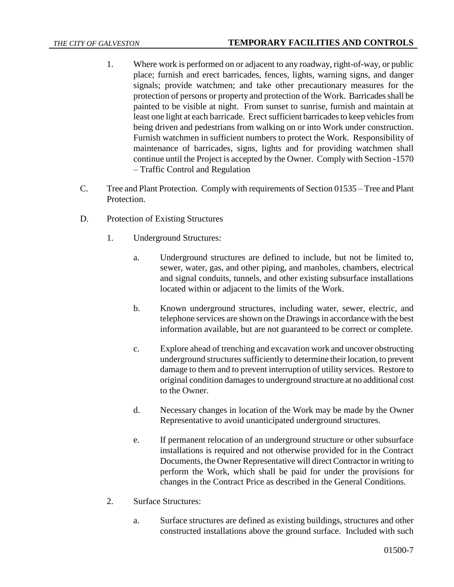- 1. Where work is performed on or adjacent to any roadway, right-of-way, or public place; furnish and erect barricades, fences, lights, warning signs, and danger signals; provide watchmen; and take other precautionary measures for the protection of persons or property and protection of the Work. Barricades shall be painted to be visible at night. From sunset to sunrise, furnish and maintain at least one light at each barricade. Erect sufficient barricades to keep vehicles from being driven and pedestrians from walking on or into Work under construction. Furnish watchmen in sufficient numbers to protect the Work. Responsibility of maintenance of barricades, signs, lights and for providing watchmen shall continue until the Project is accepted by the Owner. Comply with Section -1570 – Traffic Control and Regulation
- C. Tree and Plant Protection. Comply with requirements of Section 01535 Tree and Plant Protection.
- D. Protection of Existing Structures
	- 1. Underground Structures:
		- a. Underground structures are defined to include, but not be limited to, sewer, water, gas, and other piping, and manholes, chambers, electrical and signal conduits, tunnels, and other existing subsurface installations located within or adjacent to the limits of the Work.
		- b. Known underground structures, including water, sewer, electric, and telephone services are shown on the Drawings in accordance with the best information available, but are not guaranteed to be correct or complete.
		- c. Explore ahead of trenching and excavation work and uncover obstructing underground structures sufficiently to determine their location, to prevent damage to them and to prevent interruption of utility services. Restore to original condition damages to underground structure at no additional cost to the Owner.
		- d. Necessary changes in location of the Work may be made by the Owner Representative to avoid unanticipated underground structures.
		- e. If permanent relocation of an underground structure or other subsurface installations is required and not otherwise provided for in the Contract Documents, the Owner Representative will direct Contractor in writing to perform the Work, which shall be paid for under the provisions for changes in the Contract Price as described in the General Conditions.
	- 2. Surface Structures:
		- a. Surface structures are defined as existing buildings, structures and other constructed installations above the ground surface. Included with such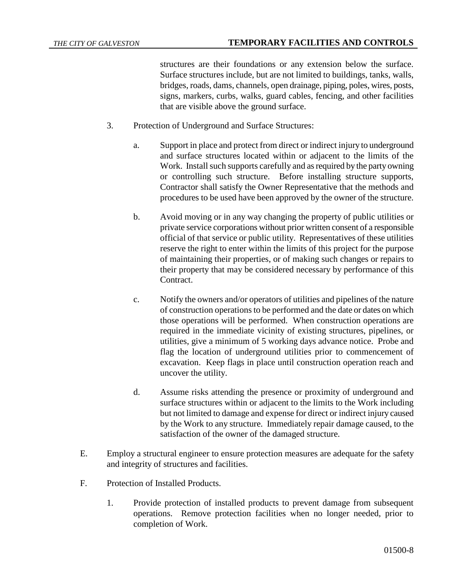structures are their foundations or any extension below the surface. Surface structures include, but are not limited to buildings, tanks, walls, bridges, roads, dams, channels, open drainage, piping, poles, wires, posts, signs, markers, curbs, walks, guard cables, fencing, and other facilities that are visible above the ground surface.

- 3. Protection of Underground and Surface Structures:
	- a. Support in place and protect from direct or indirect injury to underground and surface structures located within or adjacent to the limits of the Work. Install such supports carefully and as required by the party owning or controlling such structure. Before installing structure supports, Contractor shall satisfy the Owner Representative that the methods and procedures to be used have been approved by the owner of the structure.
	- b. Avoid moving or in any way changing the property of public utilities or private service corporations without prior written consent of a responsible official of that service or public utility. Representatives of these utilities reserve the right to enter within the limits of this project for the purpose of maintaining their properties, or of making such changes or repairs to their property that may be considered necessary by performance of this Contract.
	- c. Notify the owners and/or operators of utilities and pipelines of the nature of construction operations to be performed and the date or dates on which those operations will be performed. When construction operations are required in the immediate vicinity of existing structures, pipelines, or utilities, give a minimum of 5 working days advance notice. Probe and flag the location of underground utilities prior to commencement of excavation. Keep flags in place until construction operation reach and uncover the utility.
	- d. Assume risks attending the presence or proximity of underground and surface structures within or adjacent to the limits to the Work including but not limited to damage and expense for direct or indirect injury caused by the Work to any structure. Immediately repair damage caused, to the satisfaction of the owner of the damaged structure.
- E. Employ a structural engineer to ensure protection measures are adequate for the safety and integrity of structures and facilities.
- F. Protection of Installed Products.
	- 1. Provide protection of installed products to prevent damage from subsequent operations. Remove protection facilities when no longer needed, prior to completion of Work.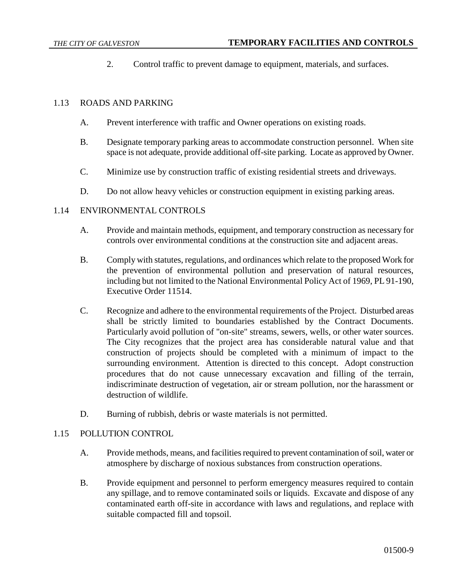2. Control traffic to prevent damage to equipment, materials, and surfaces.

### 1.13 ROADS AND PARKING

- A. Prevent interference with traffic and Owner operations on existing roads.
- B. Designate temporary parking areas to accommodate construction personnel. When site space is not adequate, provide additional off-site parking. Locate as approved by Owner.
- C. Minimize use by construction traffic of existing residential streets and driveways.
- D. Do not allow heavy vehicles or construction equipment in existing parking areas.

## 1.14 ENVIRONMENTAL CONTROLS

- A. Provide and maintain methods, equipment, and temporary construction as necessary for controls over environmental conditions at the construction site and adjacent areas.
- B. Comply with statutes, regulations, and ordinances which relate to the proposed Work for the prevention of environmental pollution and preservation of natural resources, including but not limited to the National Environmental Policy Act of 1969, PL 91-190, Executive Order 11514.
- C. Recognize and adhere to the environmental requirements of the Project. Disturbed areas shall be strictly limited to boundaries established by the Contract Documents. Particularly avoid pollution of "on-site" streams, sewers, wells, or other water sources. The City recognizes that the project area has considerable natural value and that construction of projects should be completed with a minimum of impact to the surrounding environment. Attention is directed to this concept. Adopt construction procedures that do not cause unnecessary excavation and filling of the terrain, indiscriminate destruction of vegetation, air or stream pollution, nor the harassment or destruction of wildlife.
- D. Burning of rubbish, debris or waste materials is not permitted.

#### 1.15 POLLUTION CONTROL

- A. Provide methods, means, and facilities required to prevent contamination of soil, water or atmosphere by discharge of noxious substances from construction operations.
- B. Provide equipment and personnel to perform emergency measures required to contain any spillage, and to remove contaminated soils or liquids. Excavate and dispose of any contaminated earth off-site in accordance with laws and regulations, and replace with suitable compacted fill and topsoil.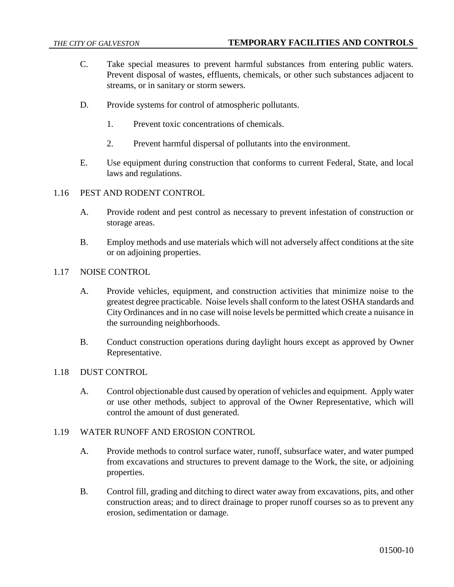- C. Take special measures to prevent harmful substances from entering public waters. Prevent disposal of wastes, effluents, chemicals, or other such substances adjacent to streams, or in sanitary or storm sewers.
- D. Provide systems for control of atmospheric pollutants.
	- 1. Prevent toxic concentrations of chemicals.
	- 2. Prevent harmful dispersal of pollutants into the environment.
- E. Use equipment during construction that conforms to current Federal, State, and local laws and regulations.
- 1.16 PEST AND RODENT CONTROL
	- A. Provide rodent and pest control as necessary to prevent infestation of construction or storage areas.
	- B. Employ methods and use materials which will not adversely affect conditions at the site or on adjoining properties.
- 1.17 NOISE CONTROL
	- A. Provide vehicles, equipment, and construction activities that minimize noise to the greatest degree practicable. Noise levels shall conform to the latest OSHA standards and City Ordinances and in no case will noise levels be permitted which create a nuisance in the surrounding neighborhoods.
	- B. Conduct construction operations during daylight hours except as approved by Owner Representative.
- 1.18 DUST CONTROL
	- A. Control objectionable dust caused by operation of vehicles and equipment. Apply water or use other methods, subject to approval of the Owner Representative, which will control the amount of dust generated.

#### 1.19 WATER RUNOFF AND EROSION CONTROL

- A. Provide methods to control surface water, runoff, subsurface water, and water pumped from excavations and structures to prevent damage to the Work, the site, or adjoining properties.
- B. Control fill, grading and ditching to direct water away from excavations, pits, and other construction areas; and to direct drainage to proper runoff courses so as to prevent any erosion, sedimentation or damage.